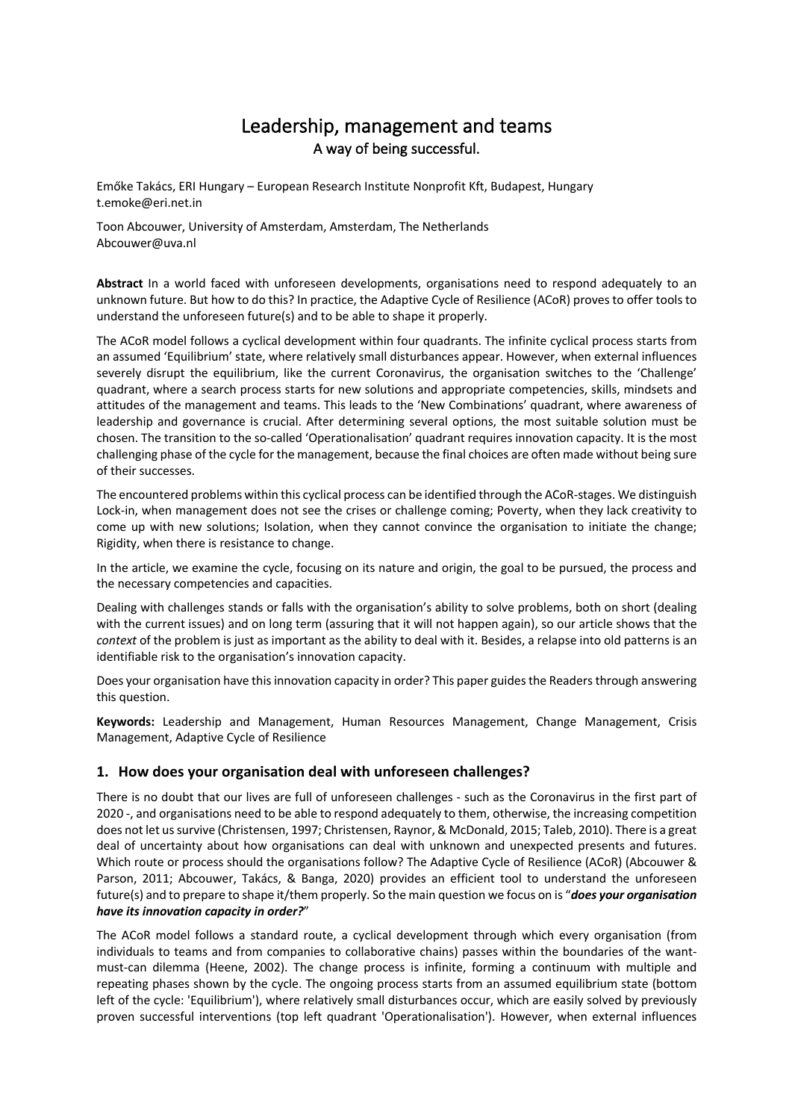# Leadership, management and teams A way of being successful.

Emőke Takács, ERI Hungary – European Research Institute Nonprofit Kft, Budapest, Hungary t.emoke@eri.net.in

Toon Abcouwer, University of Amsterdam, Amsterdam, The Netherlands Abcouwer@uva.nl

**Abstract** In a world faced with unforeseen developments, organisations need to respond adequately to an unknown future. But how to do this? In practice, the Adaptive Cycle of Resilience (ACoR) proves to offer tools to understand the unforeseen future(s) and to be able to shape it properly.

The ACoR model follows a cyclical development within four quadrants. The infinite cyclical process starts from an assumed 'Equilibrium' state, where relatively small disturbances appear. However, when external influences severely disrupt the equilibrium, like the current Coronavirus, the organisation switches to the 'Challenge' quadrant, where a search process starts for new solutions and appropriate competencies, skills, mindsets and attitudes of the management and teams. This leads to the 'New Combinations' quadrant, where awareness of leadership and governance is crucial. After determining several options, the most suitable solution must be chosen. The transition to the so-called 'Operationalisation' quadrant requires innovation capacity. It is the most challenging phase of the cycle for the management, because the final choices are often made without being sure of their successes.

The encountered problems within this cyclical process can be identified through the ACoR-stages. We distinguish Lock-in, when management does not see the crises or challenge coming; Poverty, when they lack creativity to come up with new solutions; Isolation, when they cannot convince the organisation to initiate the change; Rigidity, when there is resistance to change.

In the article, we examine the cycle, focusing on its nature and origin, the goal to be pursued, the process and the necessary competencies and capacities.

Dealing with challenges stands or falls with the organisation's ability to solve problems, both on short (dealing with the current issues) and on long term (assuring that it will not happen again), so our article shows that the *context* of the problem is just as important as the ability to deal with it. Besides, a relapse into old patterns is an identifiable risk to the organisation's innovation capacity.

Does your organisation have this innovation capacity in order? This paper guides the Readers through answering this question.

**Keywords:** Leadership and Management, Human Resources Management, Change Management, Crisis Management, Adaptive Cycle of Resilience

# **1. How does your organisation deal with unforeseen challenges?**

There is no doubt that our lives are full of unforeseen challenges - such as the Coronavirus in the first part of 2020 -, and organisations need to be able to respond adequately to them, otherwise, the increasing competition does not let us survive (Christensen, 1997; Christensen, Raynor, & McDonald, 2015; Taleb, 2010). There is a great deal of uncertainty about how organisations can deal with unknown and unexpected presents and futures. Which route or process should the organisations follow? The Adaptive Cycle of Resilience (ACoR) (Abcouwer & Parson, 2011; Abcouwer, Takács, & Banga, 2020) provides an efficient tool to understand the unforeseen future(s) and to prepare to shape it/them properly. So the main question we focus on is "*does your organisation have its innovation capacity in order?*"

The ACoR model follows a standard route, a cyclical development through which every organisation (from individuals to teams and from companies to collaborative chains) passes within the boundaries of the wantmust-can dilemma (Heene, 2002). The change process is infinite, forming a continuum with multiple and repeating phases shown by the cycle. The ongoing process starts from an assumed equilibrium state (bottom left of the cycle: 'Equilibrium'), where relatively small disturbances occur, which are easily solved by previously proven successful interventions (top left quadrant 'Operationalisation'). However, when external influences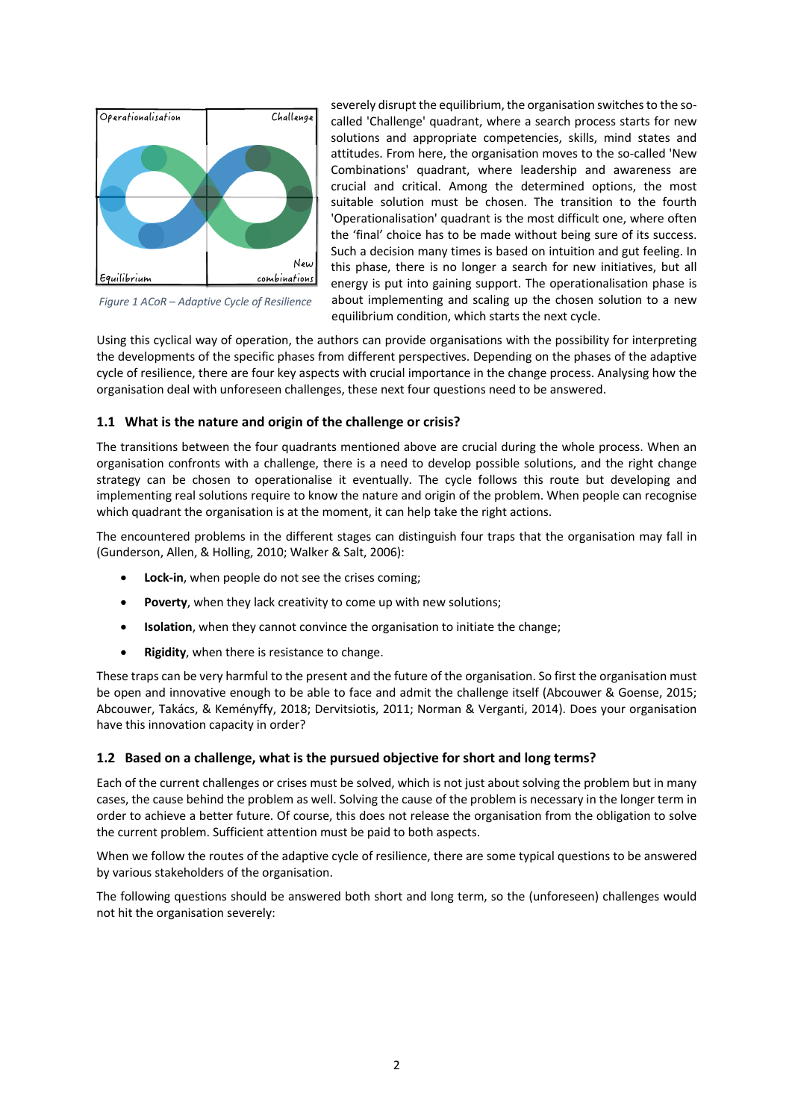

*Figure 1 ACoR – Adaptive Cycle of Resilience*

severely disrupt the equilibrium, the organisation switches to the socalled 'Challenge' quadrant, where a search process starts for new solutions and appropriate competencies, skills, mind states and attitudes. From here, the organisation moves to the so-called 'New Combinations' quadrant, where leadership and awareness are crucial and critical. Among the determined options, the most suitable solution must be chosen. The transition to the fourth 'Operationalisation' quadrant is the most difficult one, where often the 'final' choice has to be made without being sure of its success. Such a decision many times is based on intuition and gut feeling. In this phase, there is no longer a search for new initiatives, but all energy is put into gaining support. The operationalisation phase is about implementing and scaling up the chosen solution to a new equilibrium condition, which starts the next cycle.

Using this cyclical way of operation, the authors can provide organisations with the possibility for interpreting the developments of the specific phases from different perspectives. Depending on the phases of the adaptive cycle of resilience, there are four key aspects with crucial importance in the change process. Analysing how the organisation deal with unforeseen challenges, these next four questions need to be answered.

# **1.1 What is the nature and origin of the challenge or crisis?**

The transitions between the four quadrants mentioned above are crucial during the whole process. When an organisation confronts with a challenge, there is a need to develop possible solutions, and the right change strategy can be chosen to operationalise it eventually. The cycle follows this route but developing and implementing real solutions require to know the nature and origin of the problem. When people can recognise which quadrant the organisation is at the moment, it can help take the right actions.

The encountered problems in the different stages can distinguish four traps that the organisation may fall in (Gunderson, Allen, & Holling, 2010; Walker & Salt, 2006):

- **Lock-in**, when people do not see the crises coming;
- **Poverty**, when they lack creativity to come up with new solutions;
- **Isolation**, when they cannot convince the organisation to initiate the change;
- **Rigidity**, when there is resistance to change.

These traps can be very harmful to the present and the future of the organisation. So first the organisation must be open and innovative enough to be able to face and admit the challenge itself (Abcouwer & Goense, 2015; Abcouwer, Takács, & Keményffy, 2018; Dervitsiotis, 2011; Norman & Verganti, 2014). Does your organisation have this innovation capacity in order?

# **1.2 Based on a challenge, what is the pursued objective for short and long terms?**

Each of the current challenges or crises must be solved, which is not just about solving the problem but in many cases, the cause behind the problem as well. Solving the cause of the problem is necessary in the longer term in order to achieve a better future. Of course, this does not release the organisation from the obligation to solve the current problem. Sufficient attention must be paid to both aspects.

When we follow the routes of the adaptive cycle of resilience, there are some typical questions to be answered by various stakeholders of the organisation.

The following questions should be answered both short and long term, so the (unforeseen) challenges would not hit the organisation severely: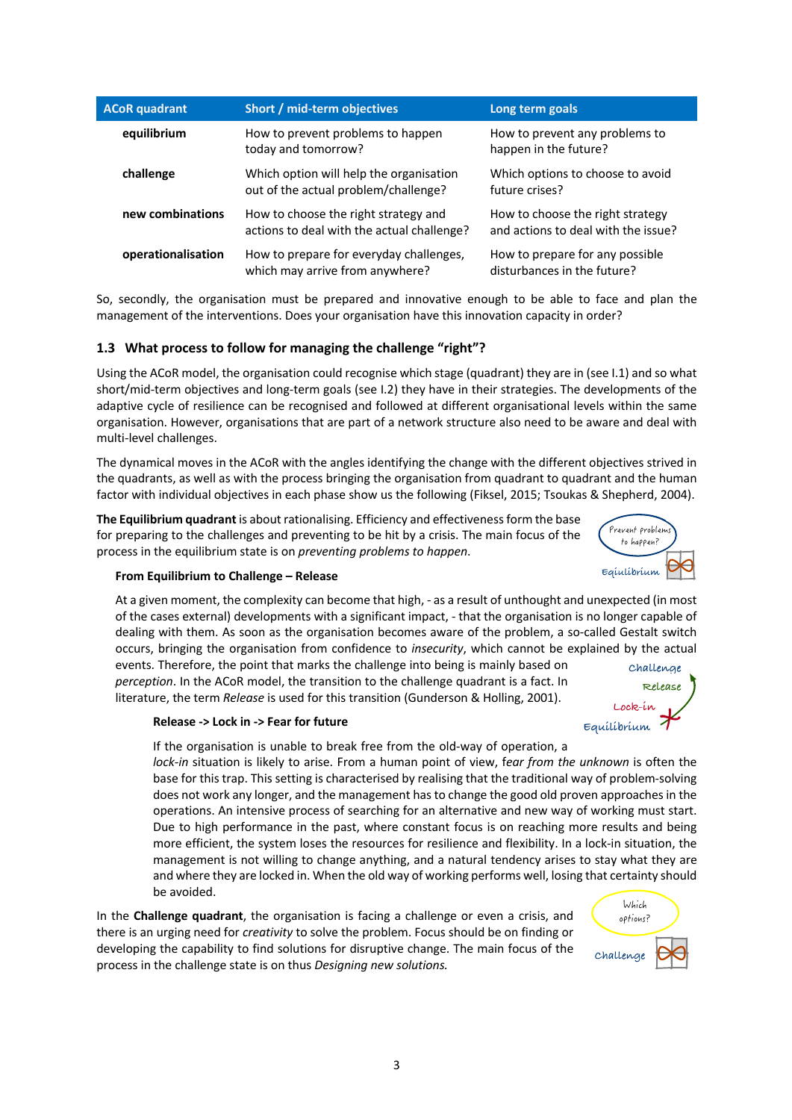| <b>ACoR</b> quadrant | Short / mid-term objectives                                                        | Long term goals                                                         |  |
|----------------------|------------------------------------------------------------------------------------|-------------------------------------------------------------------------|--|
| equilibrium          | How to prevent problems to happen<br>today and tomorrow?                           | How to prevent any problems to<br>happen in the future?                 |  |
| challenge            | Which option will help the organisation<br>out of the actual problem/challenge?    | Which options to choose to avoid<br>future crises?                      |  |
| new combinations     | How to choose the right strategy and<br>actions to deal with the actual challenge? | How to choose the right strategy<br>and actions to deal with the issue? |  |
| operationalisation   | How to prepare for everyday challenges,<br>which may arrive from anywhere?         | How to prepare for any possible<br>disturbances in the future?          |  |

So, secondly, the organisation must be prepared and innovative enough to be able to face and plan the management of the interventions. Does your organisation have this innovation capacity in order?

# **1.3 What process to follow for managing the challenge "right"?**

Using the ACoR model, the organisation could recognise which stage (quadrant) they are in (see I.1) and so what short/mid-term objectives and long-term goals (see I.2) they have in their strategies. The developments of the adaptive cycle of resilience can be recognised and followed at different organisational levels within the same organisation. However, organisations that are part of a network structure also need to be aware and deal with multi-level challenges.

The dynamical moves in the ACoR with the angles identifying the change with the different objectives strived in the quadrants, as well as with the process bringing the organisation from quadrant to quadrant and the human factor with individual objectives in each phase show us the following (Fiksel, 2015; Tsoukas & Shepherd, 2004).

**The Equilibrium quadrant** is about rationalising. Efficiency and effectiveness form the base for preparing to the challenges and preventing to be hit by a crisis. The main focus of the process in the equilibrium state is on *preventing problems to happen*.



#### **From Equilibrium to Challenge – Release**

At a given moment, the complexity can become that high, - as a result of unthought and unexpected (in most of the cases external) developments with a significant impact, - that the organisation is no longer capable of dealing with them. As soon as the organisation becomes aware of the problem, a so-called Gestalt switch occurs, bringing the organisation from confidence to *insecurity*, which cannot be explained by the actual

events. Therefore, the point that marks the challenge into being is mainly based on *perception*. In the ACoR model, the transition to the challenge quadrant is a fact. In literature, the term *Release* is used for this transition (Gunderson & Holling, 2001).



#### **Release -> Lock in -> Fear for future**

If the organisation is unable to break free from the old-way of operation, a *lock-in* situation is likely to arise. From a human point of view, f*ear from the unknown* is often the base for this trap. This setting is characterised by realising that the traditional way of problem-solving does not work any longer, and the management has to change the good old proven approaches in the operations. An intensive process of searching for an alternative and new way of working must start. Due to high performance in the past, where constant focus is on reaching more results and being more efficient, the system loses the resources for resilience and flexibility. In a lock-in situation, the management is not willing to change anything, and a natural tendency arises to stay what they are and where they are locked in. When the old way of working performs well, losing that certainty should be avoided.

In the **Challenge quadrant**, the organisation is facing a challenge or even a crisis, and there is an urging need for *creativity* to solve the problem. Focus should be on finding or developing the capability to find solutions for disruptive change. The main focus of the process in the challenge state is on thus *Designing new solutions.*

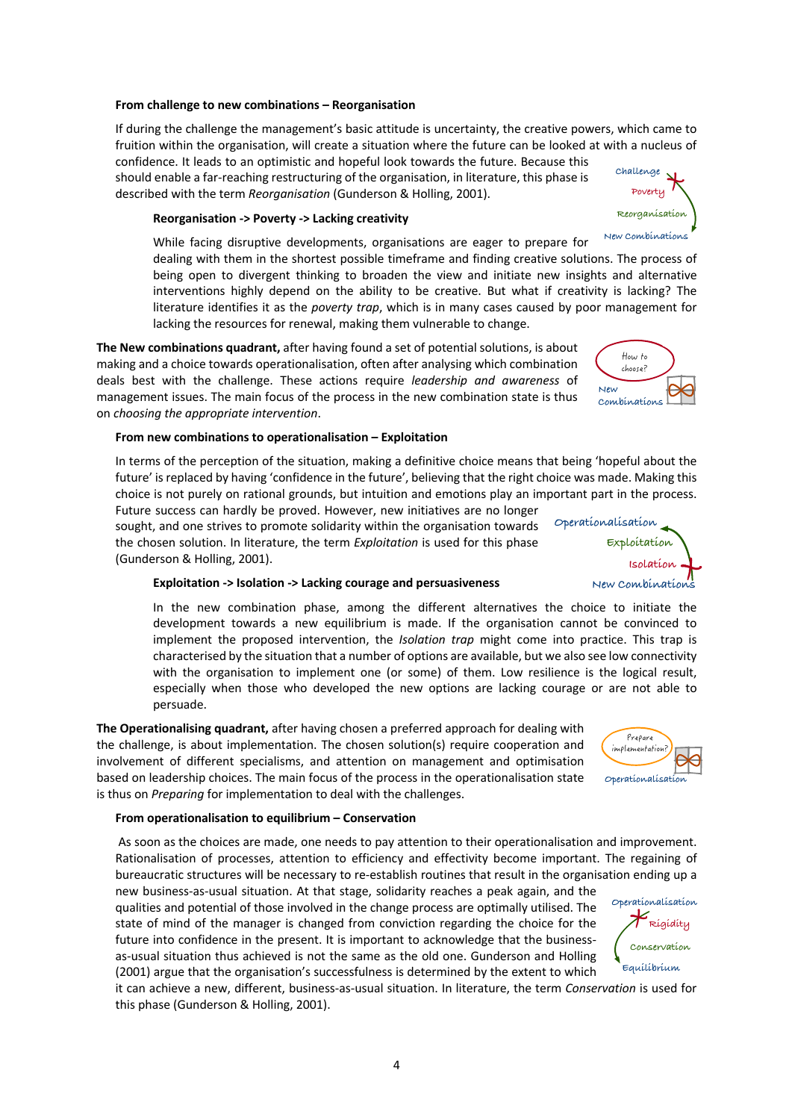#### **From challenge to new combinations – Reorganisation**

If during the challenge the management's basic attitude is uncertainty, the creative powers, which came to fruition within the organisation, will create a situation where the future can be looked at with a nucleus of confidence. It leads to an optimistic and hopeful look towards the future. Because this

should enable a far-reaching restructuring of the organisation, in literature, this phase is described with the term *Reorganisation* (Gunderson & Holling, 2001).

#### **Reorganisation -> Poverty -> Lacking creativity**

While facing disruptive developments, organisations are eager to prepare for

dealing with them in the shortest possible timeframe and finding creative solutions. The process of being open to divergent thinking to broaden the view and initiate new insights and alternative interventions highly depend on the ability to be creative. But what if creativity is lacking? The literature identifies it as the *poverty trap*, which is in many cases caused by poor management for lacking the resources for renewal, making them vulnerable to change.

**The New combinations quadrant,** after having found a set of potential solutions, is about making and a choice towards operationalisation, often after analysing which combination deals best with the challenge. These actions require *leadership and awareness* of management issues. The main focus of the process in the new combination state is thus on *choosing the appropriate intervention*.

#### **From new combinations to operationalisation – Exploitation**

In terms of the perception of the situation, making a definitive choice means that being 'hopeful about the future' is replaced by having 'confidence in the future', believing that the right choice was made. Making this choice is not purely on rational grounds, but intuition and emotions play an important part in the process.

Future success can hardly be proved. However, new initiatives are no longer sought, and one strives to promote solidarity within the organisation towards the chosen solution. In literature, the term *Exploitation* is used for this phase (Gunderson & Holling, 2001).

#### **Exploitation -> Isolation -> Lacking courage and persuasiveness**

In the new combination phase, among the different alternatives the choice to initiate the development towards a new equilibrium is made. If the organisation cannot be convinced to implement the proposed intervention, the *Isolation trap* might come into practice. This trap is characterised by the situation that a number of options are available, but we also see low connectivity with the organisation to implement one (or some) of them. Low resilience is the logical result, especially when those who developed the new options are lacking courage or are not able to persuade.

**The Operationalising quadrant,** after having chosen a preferred approach for dealing with the challenge, is about implementation. The chosen solution(s) require cooperation and involvement of different specialisms, and attention on management and optimisation based on leadership choices. The main focus of the process in the operationalisation state is thus on *Preparing* for implementation to deal with the challenges.

#### **From operationalisation to equilibrium – Conservation**

As soon as the choices are made, one needs to pay attention to their operationalisation and improvement. Rationalisation of processes, attention to efficiency and effectivity become important. The regaining of bureaucratic structures will be necessary to re-establish routines that result in the organisation ending up a

new business-as-usual situation. At that stage, solidarity reaches a peak again, and the qualities and potential of those involved in the change process are optimally utilised. The state of mind of the manager is changed from conviction regarding the choice for the future into confidence in the present. It is important to acknowledge that the businessas-usual situation thus achieved is not the same as the old one. Gunderson and Holling (2001) argue that the organisation's successfulness is determined by the extent to which

it can achieve a new, different, business-as-usual situation. In literature, the term *Conservation* is used for this phase (Gunderson & Holling, 2001).





How to choose?

**New Combinations**





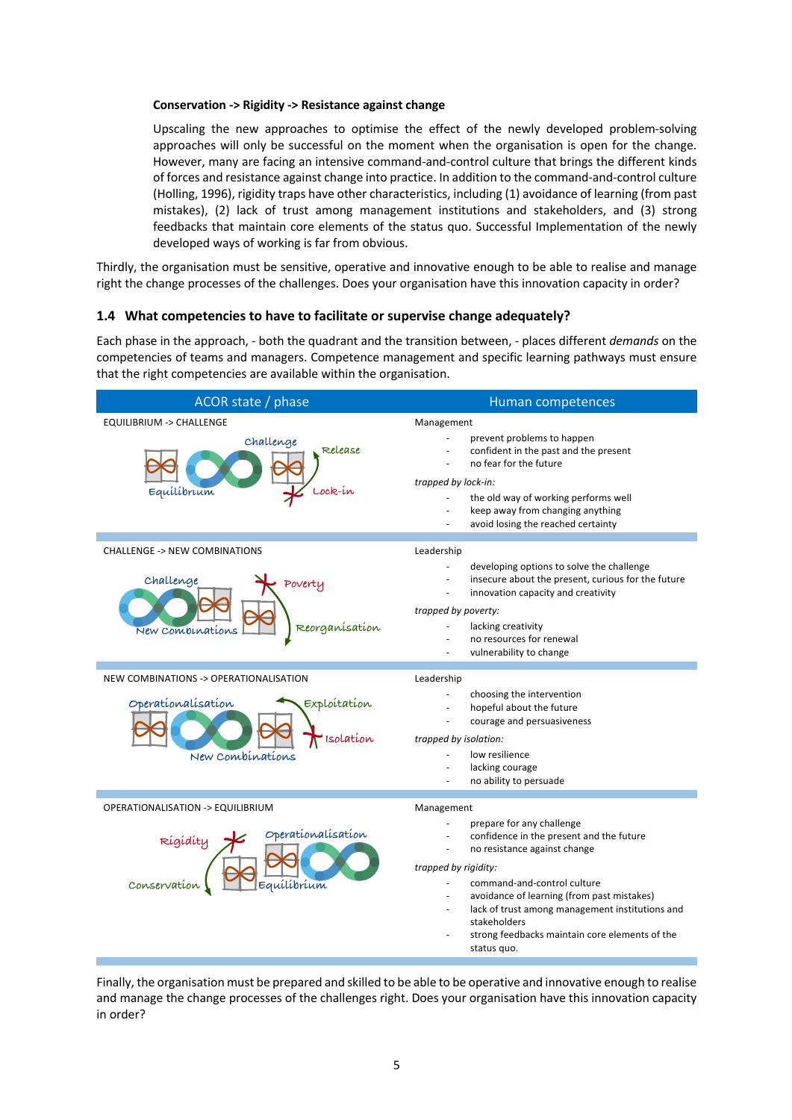#### **Conservation -> Rigidity -> Resistance against change**

Upscaling the new approaches to optimise the effect of the newly developed problem-solving approaches will only be successful on the moment when the organisation is open for the change. However, many are facing an intensive command-and-control culture that brings the different kinds of forces and resistance against change into practice. In addition to the command-and-control culture (Holling, 1996), rigidity traps have other characteristics, including (1) avoidance of learning (from past mistakes), (2) lack of trust among management institutions and stakeholders, and (3) strong feedbacks that maintain core elements of the status quo. Successful Implementation of the newly developed ways of working is far from obvious.

Thirdly, the organisation must be sensitive, operative and innovative enough to be able to realise and manage right the change processes of the challenges. Does your organisation have this innovation capacity in order?

#### **1.4 What competencies to have to facilitate or supervise change adequately?**

Each phase in the approach, - both the quadrant and the transition between, - places different *demands* on the competencies of teams and managers. Competence management and specific learning pathways must ensure that the right competencies are available within the organisation.

| Human competences                                                                                                                                                                                                                                                                                                                              |
|------------------------------------------------------------------------------------------------------------------------------------------------------------------------------------------------------------------------------------------------------------------------------------------------------------------------------------------------|
| Management                                                                                                                                                                                                                                                                                                                                     |
| prevent problems to happen<br>confident in the past and the present<br>no fear for the future                                                                                                                                                                                                                                                  |
| trapped by lock-in:<br>the old way of working performs well<br>keep away from changing anything<br>avoid losing the reached certainty                                                                                                                                                                                                          |
| Leadership                                                                                                                                                                                                                                                                                                                                     |
| developing options to solve the challenge<br>insecure about the present, curious for the future<br>innovation capacity and creativity<br>trapped by poverty:                                                                                                                                                                                   |
| lacking creativity<br>no resources for renewal<br>vulnerability to change                                                                                                                                                                                                                                                                      |
| Leadership                                                                                                                                                                                                                                                                                                                                     |
| choosing the intervention<br>hopeful about the future<br>courage and persuasiveness<br>trapped by isolation:<br>low resilience<br>÷,<br>lacking courage<br>no ability to persuade                                                                                                                                                              |
| Management                                                                                                                                                                                                                                                                                                                                     |
| prepare for any challenge<br>confidence in the present and the future<br>no resistance against change<br>trapped by rigidity:<br>command-and-control culture<br>avoidance of learning (from past mistakes)<br>lack of trust among management institutions and<br>stakeholders<br>strong feedbacks maintain core elements of the<br>status quo. |
|                                                                                                                                                                                                                                                                                                                                                |

Finally, the organisation must be prepared and skilled to be able to be operative and innovative enough to realise and manage the change processes of the challenges right. Does your organisation have this innovation capacity in order?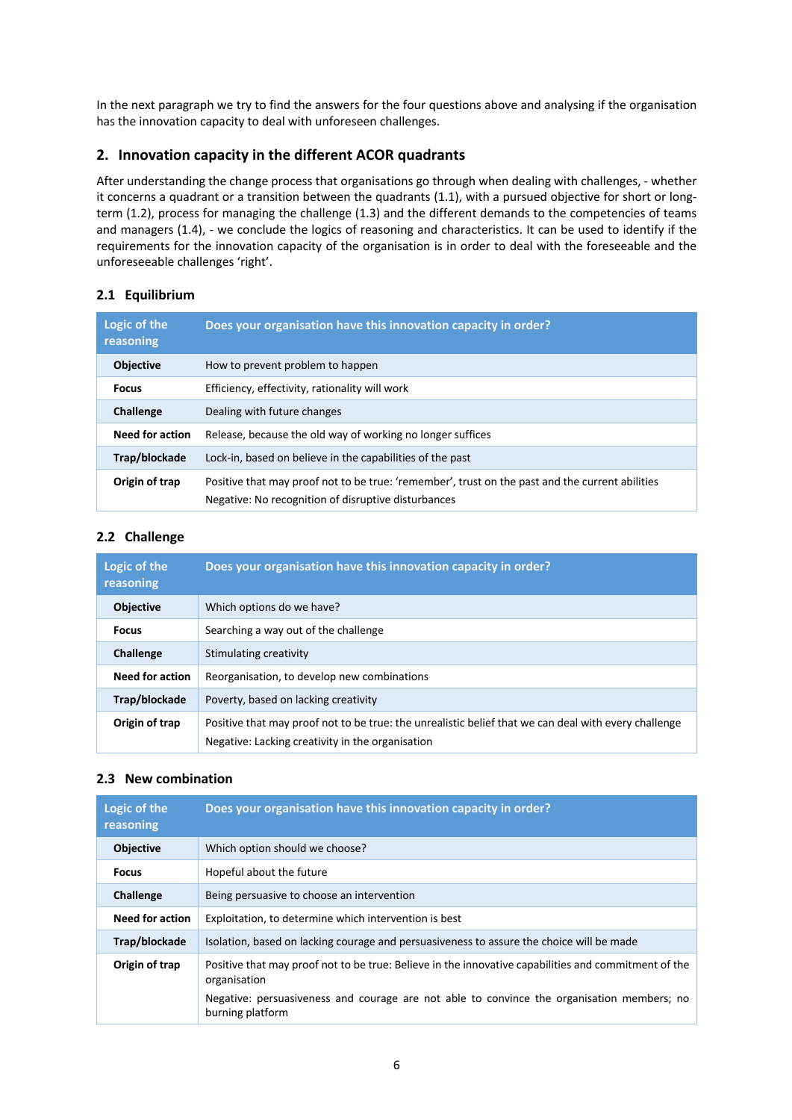In the next paragraph we try to find the answers for the four questions above and analysing if the organisation has the innovation capacity to deal with unforeseen challenges.

# **2. Innovation capacity in the different ACOR quadrants**

After understanding the change process that organisations go through when dealing with challenges, - whether it concerns a quadrant or a transition between the quadrants (1.1), with a pursued objective for short or longterm (1.2), process for managing the challenge (1.3) and the different demands to the competencies of teams and managers (1.4), - we conclude the logics of reasoning and characteristics. It can be used to identify if the requirements for the innovation capacity of the organisation is in order to deal with the foreseeable and the unforeseeable challenges 'right'.

# **2.1 Equilibrium**

| Logic of the<br>reasoning | Does your organisation have this innovation capacity in order?                                                                                         |  |
|---------------------------|--------------------------------------------------------------------------------------------------------------------------------------------------------|--|
| <b>Objective</b>          | How to prevent problem to happen                                                                                                                       |  |
| <b>Focus</b>              | Efficiency, effectivity, rationality will work                                                                                                         |  |
| <b>Challenge</b>          | Dealing with future changes                                                                                                                            |  |
| <b>Need for action</b>    | Release, because the old way of working no longer suffices                                                                                             |  |
| Trap/blockade             | Lock-in, based on believe in the capabilities of the past                                                                                              |  |
| Origin of trap            | Positive that may proof not to be true: 'remember', trust on the past and the current abilities<br>Negative: No recognition of disruptive disturbances |  |

# **2.2 Challenge**

| Logic of the<br>reasoning | Does your organisation have this innovation capacity in order?                                                                                           |  |
|---------------------------|----------------------------------------------------------------------------------------------------------------------------------------------------------|--|
| <b>Objective</b>          | Which options do we have?                                                                                                                                |  |
| <b>Focus</b>              | Searching a way out of the challenge                                                                                                                     |  |
| Challenge                 | Stimulating creativity                                                                                                                                   |  |
| <b>Need for action</b>    | Reorganisation, to develop new combinations                                                                                                              |  |
| Trap/blockade             | Poverty, based on lacking creativity                                                                                                                     |  |
| Origin of trap            | Positive that may proof not to be true: the unrealistic belief that we can deal with every challenge<br>Negative: Lacking creativity in the organisation |  |

# **2.3 New combination**

| Logic of the<br>reasoning | Does your organisation have this innovation capacity in order?                                                       |  |
|---------------------------|----------------------------------------------------------------------------------------------------------------------|--|
| <b>Objective</b>          | Which option should we choose?                                                                                       |  |
| <b>Focus</b>              | Hopeful about the future                                                                                             |  |
| Challenge                 | Being persuasive to choose an intervention                                                                           |  |
| <b>Need for action</b>    | Exploitation, to determine which intervention is best                                                                |  |
| Trap/blockade             | Isolation, based on lacking courage and persuasiveness to assure the choice will be made                             |  |
| Origin of trap            | Positive that may proof not to be true: Believe in the innovative capabilities and commitment of the<br>organisation |  |
|                           | Negative: persuasiveness and courage are not able to convince the organisation members; no<br>burning platform       |  |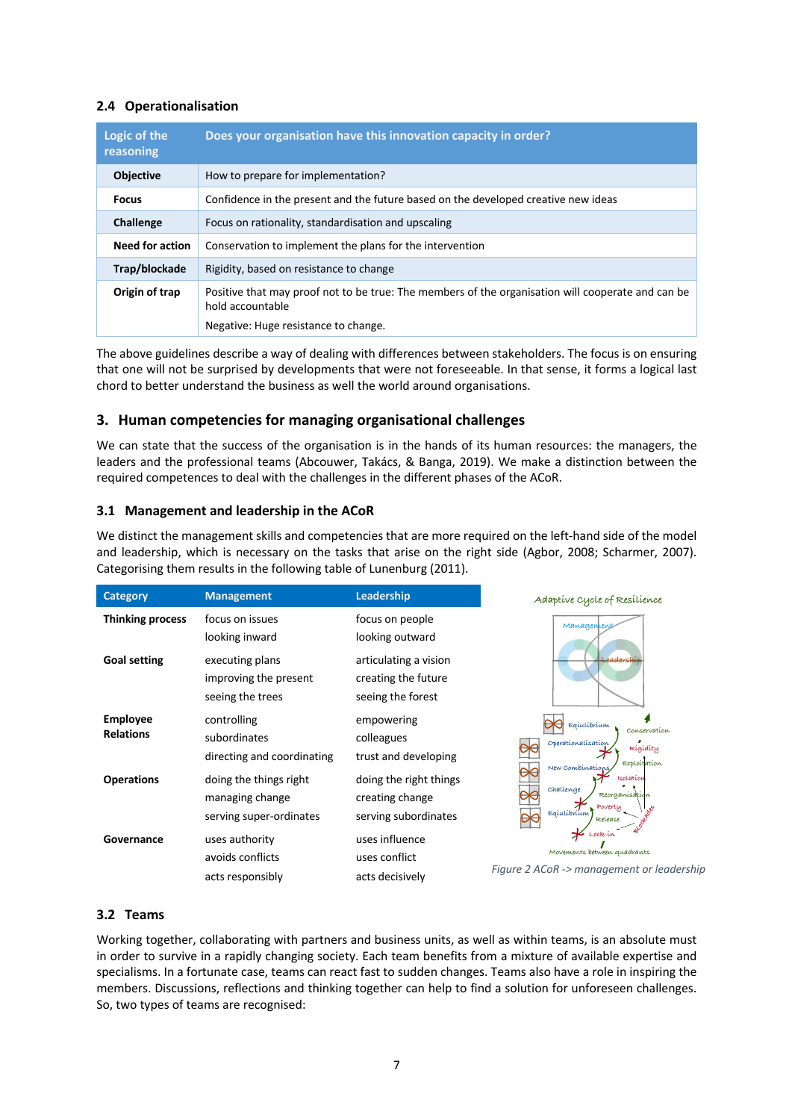# **2.4 Operationalisation**

| Logic of the<br>reasoning | Does your organisation have this innovation capacity in order?                                                                                                |  |
|---------------------------|---------------------------------------------------------------------------------------------------------------------------------------------------------------|--|
| <b>Objective</b>          | How to prepare for implementation?                                                                                                                            |  |
| <b>Focus</b>              | Confidence in the present and the future based on the developed creative new ideas                                                                            |  |
| Challenge                 | Focus on rationality, standardisation and upscaling                                                                                                           |  |
| <b>Need for action</b>    | Conservation to implement the plans for the intervention                                                                                                      |  |
| Trap/blockade             | Rigidity, based on resistance to change                                                                                                                       |  |
| Origin of trap            | Positive that may proof not to be true: The members of the organisation will cooperate and can be<br>hold accountable<br>Negative: Huge resistance to change. |  |

The above guidelines describe a way of dealing with differences between stakeholders. The focus is on ensuring that one will not be surprised by developments that were not foreseeable. In that sense, it forms a logical last chord to better understand the business as well the world around organisations.

# **3. Human competencies for managing organisational challenges**

We can state that the success of the organisation is in the hands of its human resources: the managers, the leaders and the professional teams (Abcouwer, Takács, & Banga, 2019). We make a distinction between the required competences to deal with the challenges in the different phases of the ACoR.

# **3.1 Management and leadership in the ACoR**

We distinct the management skills and competencies that are more required on the left-hand side of the model and leadership, which is necessary on the tasks that arise on the right side (Agbor, 2008; Scharmer, 2007). Categorising them results in the following table of Lunenburg (2011).

| <b>Category</b>                     | <b>Management</b>                                                    | Leadership                                                        | Adaptive Cycle of Resilience                                                                       |  |
|-------------------------------------|----------------------------------------------------------------------|-------------------------------------------------------------------|----------------------------------------------------------------------------------------------------|--|
| <b>Thinking process</b>             | focus on issues<br>looking inward                                    | focus on people<br>looking outward                                | Managen                                                                                            |  |
| <b>Goal setting</b>                 | executing plans<br>improving the present<br>seeing the trees         | articulating a vision<br>creating the future<br>seeing the forest | <b>Leadership</b>                                                                                  |  |
| <b>Employee</b><br><b>Relations</b> | controlling<br>subordinates<br>directing and coordinating            | empowering<br>colleagues<br>trust and developing                  | Eqiulibrium<br>Conservation<br>Operationalisation<br>Rígídíty<br>Exploitation<br>New Combinations, |  |
| <b>Operations</b>                   | doing the things right<br>managing change<br>serving super-ordinates | doing the right things<br>creating change<br>serving subordinates | Isolation<br>challenge<br>Reorganisation<br>Poverty<br>E<br>Release                                |  |
| Governance                          | uses authority<br>avoids conflicts<br>acts responsibly               | uses influence<br>uses conflict<br>acts decisively                | Movements between quadrants<br>Figure 2 ACoR -> management or leadership                           |  |

# **3.2 Teams**

Working together, collaborating with partners and business units, as well as within teams, is an absolute must in order to survive in a rapidly changing society. Each team benefits from a mixture of available expertise and specialisms. In a fortunate case, teams can react fast to sudden changes. Teams also have a role in inspiring the members. Discussions, reflections and thinking together can help to find a solution for unforeseen challenges. So, two types of teams are recognised: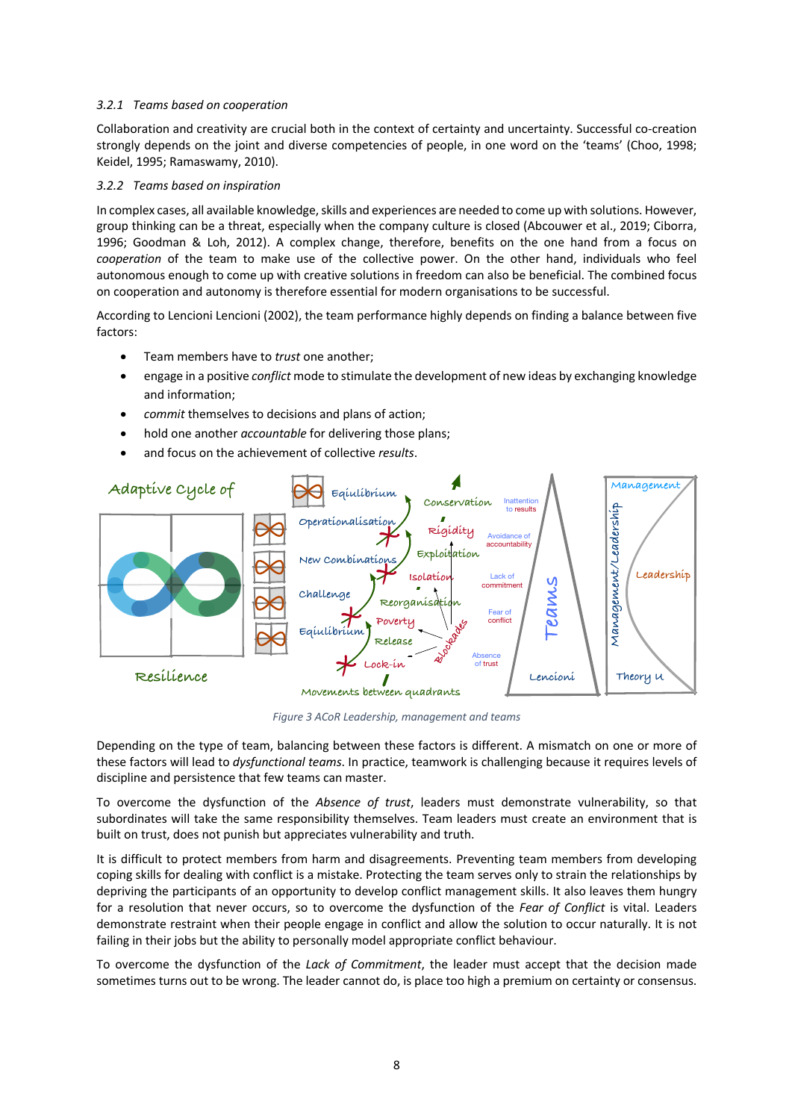#### *3.2.1 Teams based on cooperation*

Collaboration and creativity are crucial both in the context of certainty and uncertainty. Successful co-creation strongly depends on the joint and diverse competencies of people, in one word on the 'teams' (Choo, 1998; Keidel, 1995; Ramaswamy, 2010).

#### *3.2.2 Teams based on inspiration*

In complex cases, all available knowledge, skills and experiences are needed to come up with solutions. However, group thinking can be a threat, especially when the company culture is closed (Abcouwer et al., 2019; Ciborra, 1996; Goodman & Loh, 2012). A complex change, therefore, benefits on the one hand from a focus on *cooperation* of the team to make use of the collective power. On the other hand, individuals who feel autonomous enough to come up with creative solutions in freedom can also be beneficial. The combined focus on cooperation and autonomy is therefore essential for modern organisations to be successful.

According to Lencioni Lencioni (2002), the team performance highly depends on finding a balance between five factors:

- Team members have to *trust* one another;
- engage in a positive *conflict* mode to stimulate the development of new ideas by exchanging knowledge and information;
- *commit* themselves to decisions and plans of action;
- hold one another *accountable* for delivering those plans;
- and focus on the achievement of collective *results*.



*Figure 3 ACoR Leadership, management and teams*

Depending on the type of team, balancing between these factors is different. A mismatch on one or more of these factors will lead to *dysfunctional teams*. In practice, teamwork is challenging because it requires levels of discipline and persistence that few teams can master.

To overcome the dysfunction of the *Absence of trust*, leaders must demonstrate vulnerability, so that subordinates will take the same responsibility themselves. Team leaders must create an environment that is built on trust, does not punish but appreciates vulnerability and truth.

It is difficult to protect members from harm and disagreements. Preventing team members from developing coping skills for dealing with conflict is a mistake. Protecting the team serves only to strain the relationships by depriving the participants of an opportunity to develop conflict management skills. It also leaves them hungry for a resolution that never occurs, so to overcome the dysfunction of the *Fear of Conflict* is vital. Leaders demonstrate restraint when their people engage in conflict and allow the solution to occur naturally. It is not failing in their jobs but the ability to personally model appropriate conflict behaviour.

To overcome the dysfunction of the *Lack of Commitment*, the leader must accept that the decision made sometimes turns out to be wrong. The leader cannot do, is place too high a premium on certainty or consensus.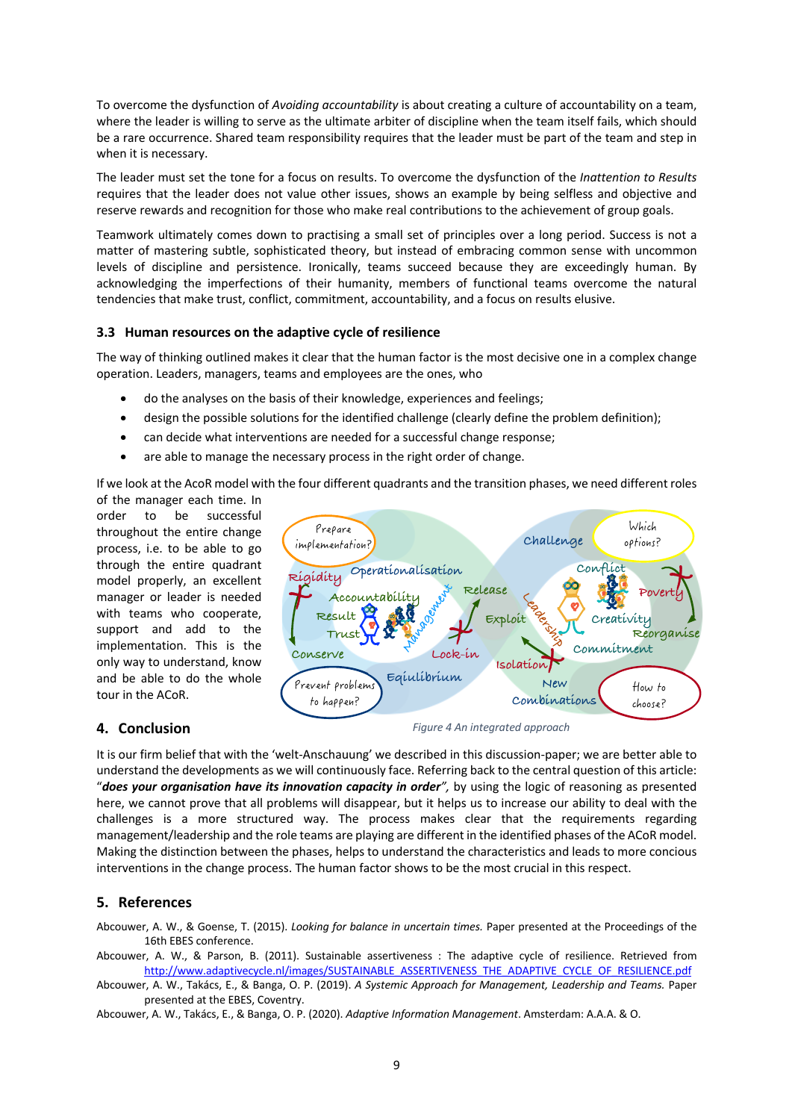To overcome the dysfunction of *Avoiding accountability* is about creating a culture of accountability on a team, where the leader is willing to serve as the ultimate arbiter of discipline when the team itself fails, which should be a rare occurrence. Shared team responsibility requires that the leader must be part of the team and step in when it is necessary.

The leader must set the tone for a focus on results. To overcome the dysfunction of the *Inattention to Results* requires that the leader does not value other issues, shows an example by being selfless and objective and reserve rewards and recognition for those who make real contributions to the achievement of group goals.

Teamwork ultimately comes down to practising a small set of principles over a long period. Success is not a matter of mastering subtle, sophisticated theory, but instead of embracing common sense with uncommon levels of discipline and persistence. Ironically, teams succeed because they are exceedingly human. By acknowledging the imperfections of their humanity, members of functional teams overcome the natural tendencies that make trust, conflict, commitment, accountability, and a focus on results elusive.

#### **3.3 Human resources on the adaptive cycle of resilience**

The way of thinking outlined makes it clear that the human factor is the most decisive one in a complex change operation. Leaders, managers, teams and employees are the ones, who

- do the analyses on the basis of their knowledge, experiences and feelings;
- design the possible solutions for the identified challenge (clearly define the problem definition);
- can decide what interventions are needed for a successful change response;
- are able to manage the necessary process in the right order of change.

If we look at the AcoR model with the four different quadrants and the transition phases, we need different roles

of the manager each time. In order to be successful throughout the entire change process, i.e. to be able to go through the entire quadrant model properly, an excellent manager or leader is needed with teams who cooperate, support and add to the implementation. This is the only way to understand, know and be able to do the whole tour in the ACoR.

#### **4. Conclusion**



*Figure 4 An integrated approach*

It is our firm belief that with the 'welt-Anschauung' we described in this discussion-paper; we are better able to understand the developments as we will continuously face. Referring back to the central question of this article: "*does your organisation have its innovation capacity in order",* by using the logic of reasoning as presented here, we cannot prove that all problems will disappear, but it helps us to increase our ability to deal with the challenges is a more structured way. The process makes clear that the requirements regarding management/leadership and the role teams are playing are different in the identified phases of the ACoR model. Making the distinction between the phases, helps to understand the characteristics and leads to more concious interventions in the change process. The human factor shows to be the most crucial in this respect.

# **5. References**

Abcouwer, A. W., & Goense, T. (2015). *Looking for balance in uncertain times.* Paper presented at the Proceedings of the 16th EBES conference.

Abcouwer, A. W., & Parson, B. (2011). Sustainable assertiveness : The adaptive cycle of resilience. Retrieved from http://www.adaptivecycle.nl/images/SUSTAINABLE\_ASSERTIVENESS\_THE\_ADAPTIVE\_CYCLE\_OF\_RESILIENCE.pdf

Abcouwer, A. W., Takács, E., & Banga, O. P. (2019). *A Systemic Approach for Management, Leadership and Teams.* Paper presented at the EBES, Coventry.

Abcouwer, A. W., Takács, E., & Banga, O. P. (2020). *Adaptive Information Management*. Amsterdam: A.A.A. & O.